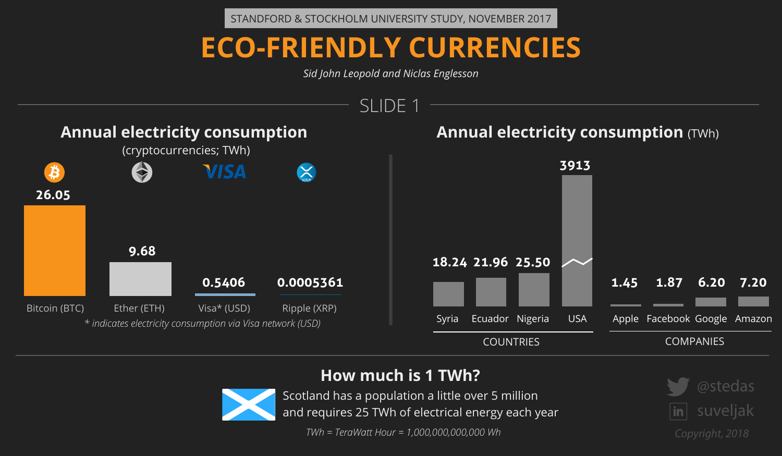



*TWh = TeraWatt Hour = 1,000,000,000,000 Wh*

## **ECO-FRIENDLY CURRENCIES**

*Sid John Leopold and Niclas Englesson*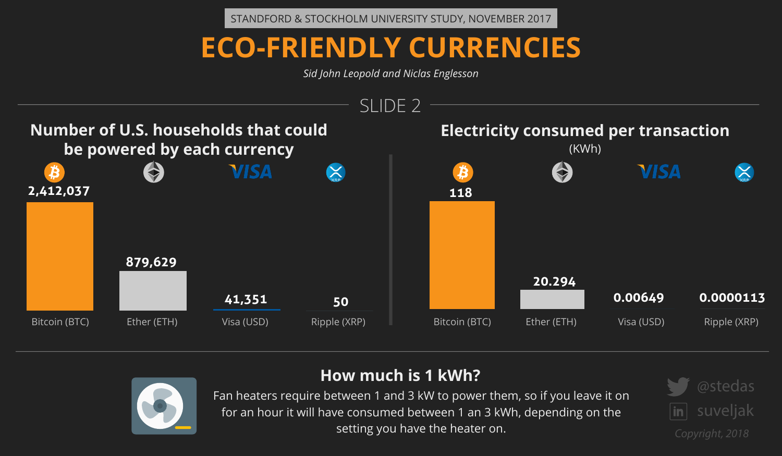

### **How much is 1 kWh?**





Fan heaters require between 1 and 3 kW to power them, so if you leave it on for an hour it will have consumed between 1 an 3 kWh, depending on the setting you have the heater on.

# **VISA**



**0.00649 0.0000113**

## **ECO-FRIENDLY CURRENCIES**

*Sid John Leopold and Niclas Englesson*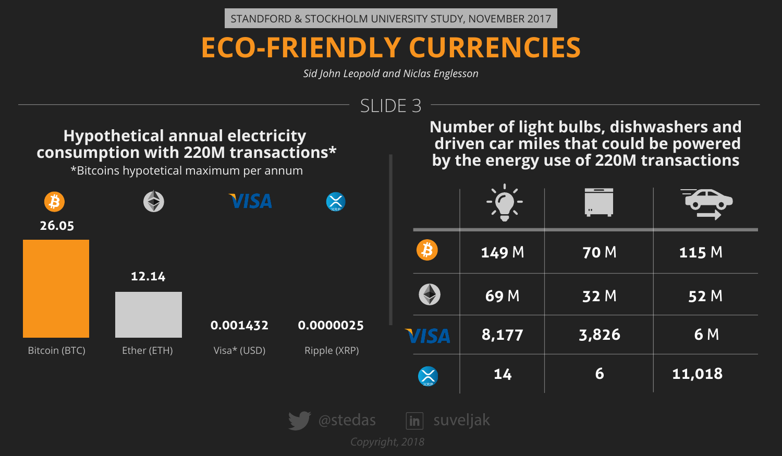

| <b>70 M</b> | 115 M             |
|-------------|-------------------|
| 32 M        | $\overline{52}$ M |
| 3,826       | <b>6M</b>         |
| 6           | 11,018            |

## **ECO-FRIENDLY CURRENCIES**

*Sid John Leopold and Niclas Englesson*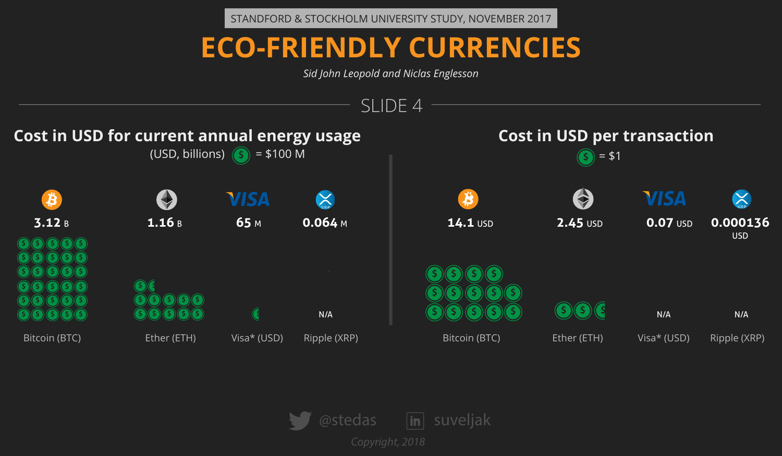

*Copyright, 2018*



## **ECO-FRIENDLY CURRENCIES**

*Sid John Leopold and Niclas Englesson*